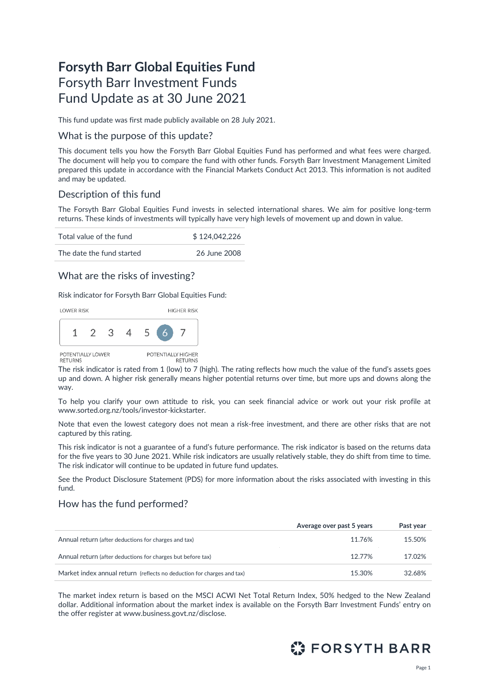# **Forsyth Barr Global Equities Fund** Forsyth Barr Investment Funds Fund Update as at 30 June 2021

This fund update was first made publicly available on 28 July 2021.

### What is the purpose of this update?

This document tells you how the Forsyth Barr Global Equities Fund has performed and what fees were charged. The document will help you to compare the fund with other funds. Forsyth Barr Investment Management Limited prepared this update in accordance with the Financial Markets Conduct Act 2013. This information is not audited and may be updated.

# Description of this fund

The Forsyth Barr Global Equities Fund invests in selected international shares. We aim for positive long-term returns. These kinds of investments will typically have very high levels of movement up and down in value.

| Total value of the fund   | \$124.042.226 |
|---------------------------|---------------|
| The date the fund started | 26 June 2008  |

# What are the risks of investing?

Risk indicator for Forsyth Barr Global Equities Fund:



The risk indicator is rated from 1 (low) to 7 (high). The rating reflects how much the value of the fund's assets goes up and down. A higher risk generally means higher potential returns over time, but more ups and downs along the way.

To help you clarify your own attitude to risk, you can seek financial advice or work out your risk profile at [www.sorted.org.nz/tools/investor-kickstarter.](http://www.sorted.org.nz/tools/investor-kickstarter)

Note that even the lowest category does not mean a risk-free investment, and there are other risks that are not captured by this rating.

This risk indicator is not a guarantee of a fund's future performance. The risk indicator is based on the returns data for the five years to 30 June 2021. While risk indicators are usually relatively stable, they do shift from time to time. The risk indicator will continue to be updated in future fund updates.

See the Product Disclosure Statement (PDS) for more information about the risks associated with investing in this fund.

## How has the fund performed?

|                                                                        | Average over past 5 years | Past year |
|------------------------------------------------------------------------|---------------------------|-----------|
| Annual return (after deductions for charges and tax)                   | 11.76%                    | 15.50%    |
| Annual return (after deductions for charges but before tax)            | 12.77%                    | 17.02%    |
| Market index annual return (reflects no deduction for charges and tax) | 15.30%                    | 32.68%    |

The market index return is based on the MSCI ACWI Net Total Return Index, 50% hedged to the New Zealand dollar. Additional information about the market index is available on the Forsyth Barr Investment Funds' entry on the offer register at [www.business.govt.nz/disclose](http://www.business.govt.nz/disclose)*.*

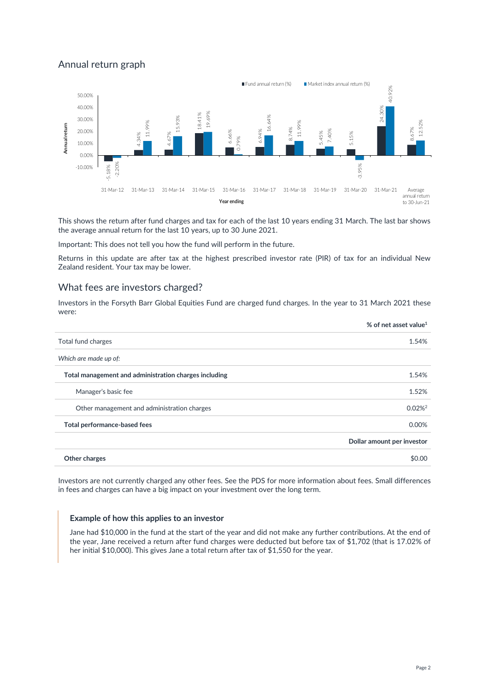# Annual return graph



This shows the return after fund charges and tax for each of the last 10 years ending 31 March. The last bar shows the average annual return for the last 10 years, up to 30 June 2021.

Important: This does not tell you how the fund will perform in the future.

Returns in this update are after tax at the highest prescribed investor rate (PIR) of tax for an individual New Zealand resident. Your tax may be lower.

#### What fees are investors charged?

Investors in the Forsyth Barr Global Equities Fund are charged fund charges. In the year to 31 March 2021 these were:

| Total fund charges<br>Which are made up of:<br>Total management and administration charges including<br>Manager's basic fee<br>Other management and administration charges<br>Total performance-based fees | % of net asset value <sup>1</sup> |
|------------------------------------------------------------------------------------------------------------------------------------------------------------------------------------------------------------|-----------------------------------|
|                                                                                                                                                                                                            | 1.54%                             |
|                                                                                                                                                                                                            |                                   |
|                                                                                                                                                                                                            | 1.54%                             |
|                                                                                                                                                                                                            | 1.52%                             |
|                                                                                                                                                                                                            | $0.02%^{2}$                       |
|                                                                                                                                                                                                            | 0.00%                             |
|                                                                                                                                                                                                            | Dollar amount per investor        |
| Other charges                                                                                                                                                                                              | \$0.00                            |

Investors are not currently charged any other fees. See the PDS for more information about fees. Small differences in fees and charges can have a big impact on your investment over the long term.

#### **Example of how this applies to an investor**

Jane had \$10,000 in the fund at the start of the year and did not make any further contributions. At the end of the year, Jane received a return after fund charges were deducted but before tax of \$1,702 (that is 17.02% of her initial \$10,000). This gives Jane a total return after tax of \$1,550 for the year.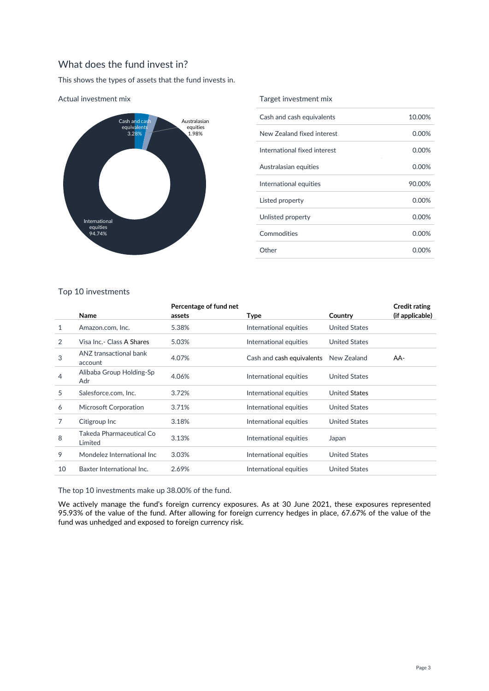# What does the fund invest in?

This shows the types of assets that the fund invests in.



Actual investment mix

#### Target investment mix

| Cash and cash equivalents    | 10.00%   |
|------------------------------|----------|
| New Zealand fixed interest   | $0.00\%$ |
| International fixed interest | $0.00\%$ |
| Australasian equities        | $0.00\%$ |
| International equities       | 90.00%   |
| Listed property              | $0.00\%$ |
| Unlisted property            | $0.00\%$ |
| Commodities                  | 0.00%    |
| Other                        | 0.00%    |
|                              |          |

#### Top 10 investments

|    | Name                                | Percentage of fund net<br>assets | Type                      | Country              | <b>Credit rating</b><br>(if applicable) |
|----|-------------------------------------|----------------------------------|---------------------------|----------------------|-----------------------------------------|
| 1  | Amazon.com, Inc.                    | 5.38%                            | International equities    | <b>United States</b> |                                         |
| 2  | Visa Inc.- Class A Shares           | 5.03%                            | International equities    | <b>United States</b> |                                         |
| 3  | ANZ transactional bank<br>account   | 4.07%                            | Cash and cash equivalents | New Zealand          | AA-                                     |
| 4  | Alibaba Group Holding-Sp<br>Adr     | 4.06%                            | International equities    | <b>United States</b> |                                         |
| 5  | Salesforce.com, Inc.                | 3.72%                            | International equities    | United States        |                                         |
| 6  | Microsoft Corporation               | 3.71%                            | International equities    | <b>United States</b> |                                         |
| 7  | Citigroup Inc                       | 3.18%                            | International equities    | <b>United States</b> |                                         |
| 8  | Takeda Pharmaceutical Co<br>Limited | 3.13%                            | International equities    | Japan                |                                         |
| 9  | Mondelez International Inc          | 3.03%                            | International equities    | <b>United States</b> |                                         |
| 10 | Baxter International Inc.           | 2.69%                            | International equities    | <b>United States</b> |                                         |

The top 10 investments make up 38.00% of the fund.

We actively manage the fund's foreign currency exposures. As at 30 June 2021, these exposures represented 95.93% of the value of the fund. After allowing for foreign currency hedges in place, 67.67% of the value of the fund was unhedged and exposed to foreign currency risk.